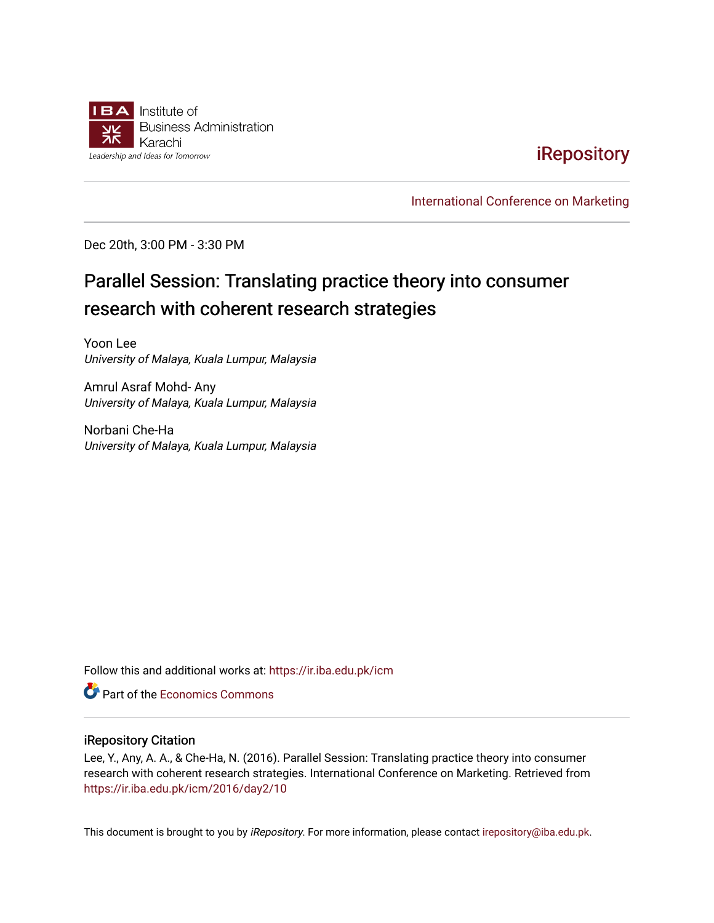

## **iRepository**

[International Conference on Marketing](https://ir.iba.edu.pk/icm) 

Dec 20th, 3:00 PM - 3:30 PM

# Parallel Session: Translating practice theory into consumer research with coherent research strategies

Yoon Lee University of Malaya, Kuala Lumpur, Malaysia

Amrul Asraf Mohd- Any University of Malaya, Kuala Lumpur, Malaysia

Norbani Che-Ha University of Malaya, Kuala Lumpur, Malaysia

Follow this and additional works at: [https://ir.iba.edu.pk/icm](https://ir.iba.edu.pk/icm?utm_source=ir.iba.edu.pk%2Ficm%2F2016%2Fday2%2F10&utm_medium=PDF&utm_campaign=PDFCoverPages) 

**C** Part of the [Economics Commons](http://network.bepress.com/hgg/discipline/340?utm_source=ir.iba.edu.pk%2Ficm%2F2016%2Fday2%2F10&utm_medium=PDF&utm_campaign=PDFCoverPages)

#### iRepository Citation

Lee, Y., Any, A. A., & Che-Ha, N. (2016). Parallel Session: Translating practice theory into consumer research with coherent research strategies. International Conference on Marketing. Retrieved from [https://ir.iba.edu.pk/icm/2016/day2/10](https://ir.iba.edu.pk/icm/2016/day2/10?utm_source=ir.iba.edu.pk%2Ficm%2F2016%2Fday2%2F10&utm_medium=PDF&utm_campaign=PDFCoverPages)

This document is brought to you by iRepository. For more information, please contact [irepository@iba.edu.pk](mailto:irepository@iba.edu.pk).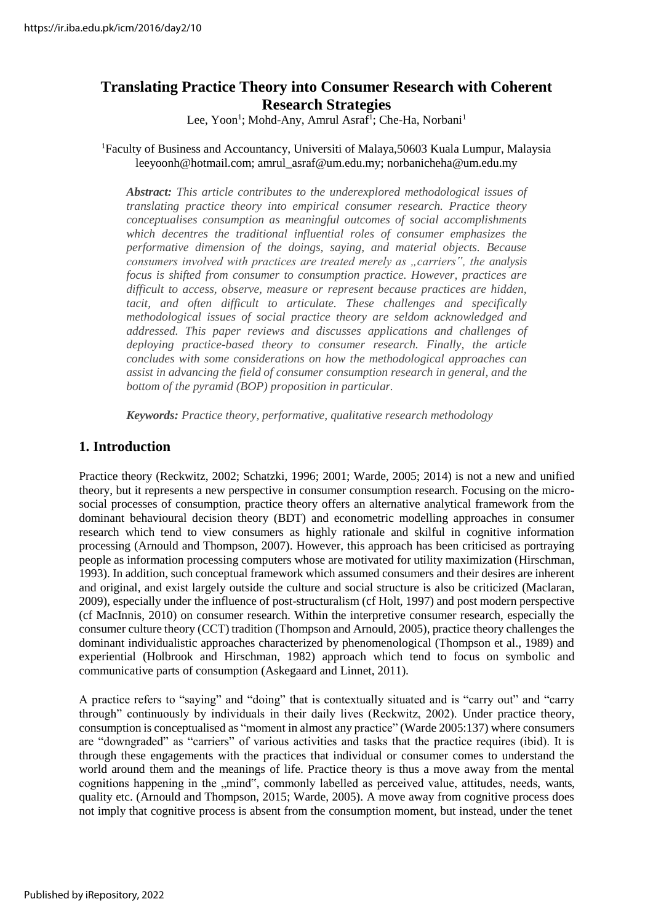## **Translating Practice Theory into Consumer Research with Coherent Research Strategies**

Lee, Yoon<sup>1</sup>; Mohd-Any, Amrul Asraf<sup>1</sup>; Che-Ha, Norbani<sup>1</sup>

#### <sup>1</sup>Faculty of Business and Accountancy, Universiti of Malaya,50603 Kuala Lumpur, Malaysia leeyoonh@hotmail.com; amrul\_asraf@um.edu.my; [norbanicheha@um.edu.my](mailto:norbanicheha@um.edu.my)

*Abstract: This article contributes to the underexplored methodological issues of translating practice theory into empirical consumer research. Practice theory conceptualises consumption as meaningful outcomes of social accomplishments which decentres the traditional influential roles of consumer emphasizes the performative dimension of the doings, saying, and material objects. Because consumers involved with practices are treated merely as "carriers", the analysis focus is shifted from consumer to consumption practice. However, practices are difficult to access, observe, measure or represent because practices are hidden,*  tacit, and often difficult to articulate. These challenges and specifically *methodological issues of social practice theory are seldom acknowledged and addressed. This paper reviews and discusses applications and challenges of deploying practice-based theory to consumer research. Finally, the article concludes with some considerations on how the methodological approaches can assist in advancing the field of consumer consumption research in general, and the bottom of the pyramid (BOP) proposition in particular.*

*Keywords: Practice theory, performative, qualitative research methodology*

## **1. Introduction**

Practice theory (Reckwitz, 2002; Schatzki, 1996; 2001; Warde, 2005; 2014) is not a new and unified theory, but it represents a new perspective in consumer consumption research. Focusing on the microsocial processes of consumption, practice theory offers an alternative analytical framework from the dominant behavioural decision theory (BDT) and econometric modelling approaches in consumer research which tend to view consumers as highly rationale and skilful in cognitive information processing (Arnould and Thompson, 2007). However, this approach has been criticised as portraying people as information processing computers whose are motivated for utility maximization (Hirschman, 1993). In addition, such conceptual framework which assumed consumers and their desires are inherent and original, and exist largely outside the culture and social structure is also be criticized (Maclaran, 2009), especially under the influence of post-structuralism (cf Holt, 1997) and post modern perspective (cf MacInnis, 2010) on consumer research. Within the interpretive consumer research, especially the consumer culture theory (CCT) tradition (Thompson and Arnould, 2005), practice theory challenges the dominant individualistic approaches characterized by phenomenological (Thompson et al., 1989) and experiential (Holbrook and Hirschman, 1982) approach which tend to focus on symbolic and communicative parts of consumption (Askegaard and Linnet, 2011).

A practice refers to "saying" and "doing" that is contextually situated and is "carry out" and "carry through" continuously by individuals in their daily lives (Reckwitz, 2002). Under practice theory, consumption is conceptualised as "moment in almost any practice" (Warde 2005:137) where consumers are "downgraded" as "carriers" of various activities and tasks that the practice requires (ibid). It is through these engagements with the practices that individual or consumer comes to understand the world around them and the meanings of life. Practice theory is thus a move away from the mental cognitions happening in the "mind", commonly labelled as perceived value, attitudes, needs, wants, quality etc. (Arnould and Thompson, 2015; Warde, 2005). A move away from cognitive process does not imply that cognitive process is absent from the consumption moment, but instead, under the tenet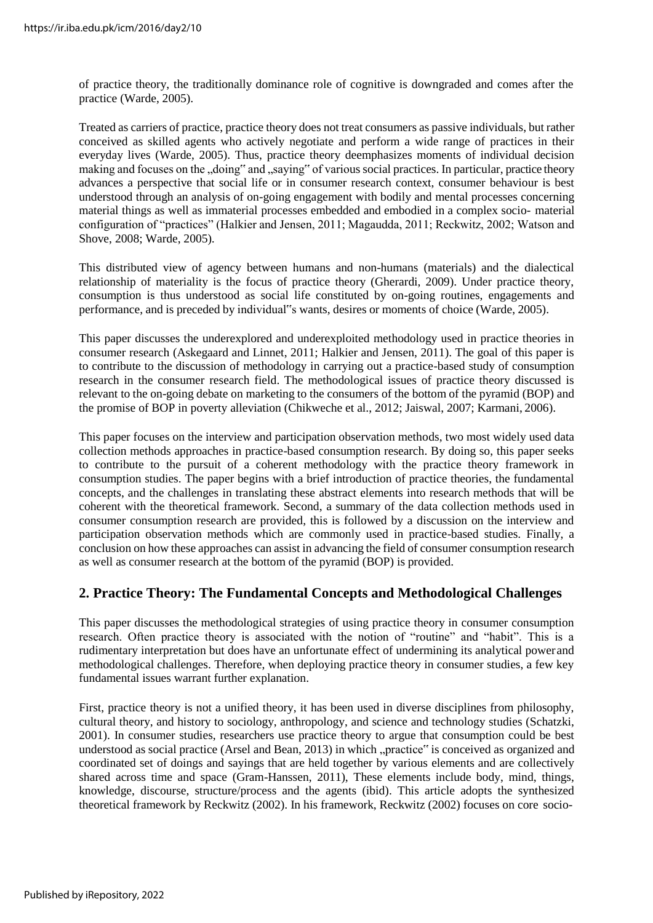of practice theory, the traditionally dominance role of cognitive is downgraded and comes after the practice (Warde, 2005).

Treated as carriers of practice, practice theory does not treat consumers as passive individuals, but rather conceived as skilled agents who actively negotiate and perform a wide range of practices in their everyday lives (Warde, 2005). Thus, practice theory deemphasizes moments of individual decision making and focuses on the "doing" and "saying" of various social practices. In particular, practice theory advances a perspective that social life or in consumer research context, consumer behaviour is best understood through an analysis of on-going engagement with bodily and mental processes concerning material things as well as immaterial processes embedded and embodied in a complex socio- material configuration of "practices" (Halkier and Jensen, 2011; Magaudda, 2011; Reckwitz, 2002; Watson and Shove, 2008; Warde, 2005).

This distributed view of agency between humans and non-humans (materials) and the dialectical relationship of materiality is the focus of practice theory (Gherardi, 2009). Under practice theory, consumption is thus understood as social life constituted by on-going routines, engagements and performance, and is preceded by individual"s wants, desires or moments of choice (Warde, 2005).

This paper discusses the underexplored and underexploited methodology used in practice theories in consumer research (Askegaard and Linnet, 2011; Halkier and Jensen, 2011). The goal of this paper is to contribute to the discussion of methodology in carrying out a practice-based study of consumption research in the consumer research field. The methodological issues of practice theory discussed is relevant to the on-going debate on marketing to the consumers of the bottom of the pyramid (BOP) and the promise of BOP in poverty alleviation (Chikweche et al., 2012; Jaiswal, 2007; Karmani, 2006).

This paper focuses on the interview and participation observation methods, two most widely used data collection methods approaches in practice-based consumption research. By doing so, this paper seeks to contribute to the pursuit of a coherent methodology with the practice theory framework in consumption studies. The paper begins with a brief introduction of practice theories, the fundamental concepts, and the challenges in translating these abstract elements into research methods that will be coherent with the theoretical framework. Second, a summary of the data collection methods used in consumer consumption research are provided, this is followed by a discussion on the interview and participation observation methods which are commonly used in practice-based studies. Finally, a conclusion on how these approaches can assist in advancing the field of consumer consumption research as well as consumer research at the bottom of the pyramid (BOP) is provided.

#### **2. Practice Theory: The Fundamental Concepts and Methodological Challenges**

This paper discusses the methodological strategies of using practice theory in consumer consumption research. Often practice theory is associated with the notion of "routine" and "habit". This is a rudimentary interpretation but does have an unfortunate effect of undermining its analytical powerand methodological challenges. Therefore, when deploying practice theory in consumer studies, a few key fundamental issues warrant further explanation.

First, practice theory is not a unified theory, it has been used in diverse disciplines from philosophy, cultural theory, and history to sociology, anthropology, and science and technology studies (Schatzki, 2001). In consumer studies, researchers use practice theory to argue that consumption could be best understood as social practice (Arsel and Bean, 2013) in which "practice" is conceived as organized and coordinated set of doings and sayings that are held together by various elements and are collectively shared across time and space (Gram-Hanssen, 2011), These elements include body, mind, things, knowledge, discourse, structure/process and the agents (ibid). This article adopts the synthesized theoretical framework by Reckwitz (2002). In his framework, Reckwitz (2002) focuses on core socio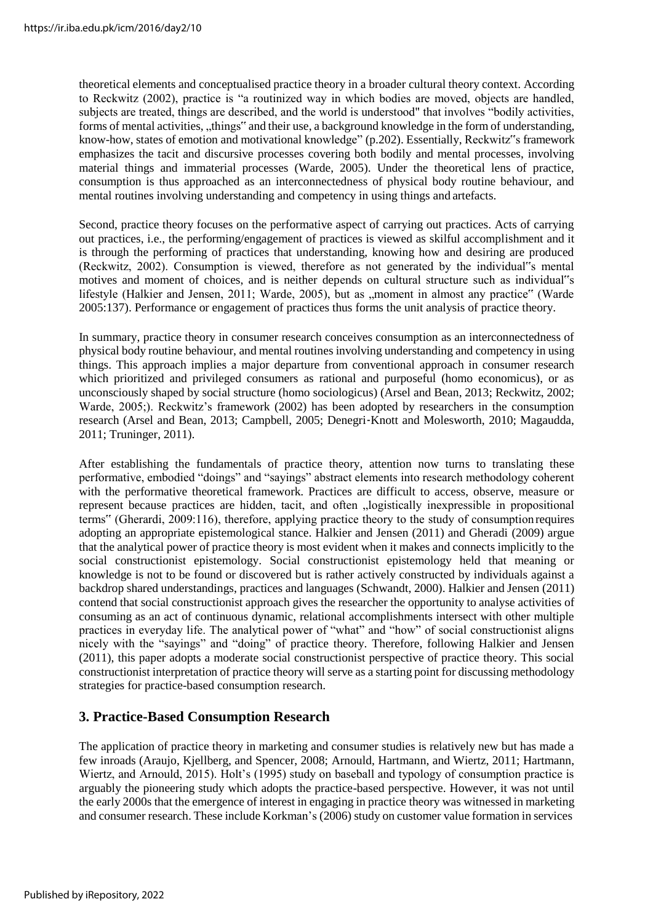theoretical elements and conceptualised practice theory in a broader cultural theory context. According to Reckwitz (2002), practice is "a routinized way in which bodies are moved, objects are handled, subjects are treated, things are described, and the world is understood" that involves "bodily activities, forms of mental activities, "things" and their use, a background knowledge in the form of understanding, know-how, states of emotion and motivational knowledge" (p.202). Essentially, Reckwitz"s framework emphasizes the tacit and discursive processes covering both bodily and mental processes, involving material things and immaterial processes (Warde, 2005). Under the theoretical lens of practice, consumption is thus approached as an interconnectedness of physical body routine behaviour, and mental routines involving understanding and competency in using things and artefacts.

Second, practice theory focuses on the performative aspect of carrying out practices. Acts of carrying out practices, i.e., the performing/engagement of practices is viewed as skilful accomplishment and it is through the performing of practices that understanding, knowing how and desiring are produced (Reckwitz, 2002). Consumption is viewed, therefore as not generated by the individual"s mental motives and moment of choices, and is neither depends on cultural structure such as individual"s lifestyle (Halkier and Jensen, 2011; Warde, 2005), but as "moment in almost any practice" (Warde 2005:137). Performance or engagement of practices thus forms the unit analysis of practice theory.

In summary, practice theory in consumer research conceives consumption as an interconnectedness of physical body routine behaviour, and mental routines involving understanding and competency in using things. This approach implies a major departure from conventional approach in consumer research which prioritized and privileged consumers as rational and purposeful (homo economicus), or as unconsciously shaped by social structure (homo sociologicus) (Arsel and Bean, 2013; Reckwitz, 2002; Warde, 2005;). Reckwitz's framework (2002) has been adopted by researchers in the consumption research (Arsel and Bean, 2013; Campbell, 2005; Denegri‐Knott and Molesworth, 2010; Magaudda, 2011; Truninger, 2011).

After establishing the fundamentals of practice theory, attention now turns to translating these performative, embodied "doings" and "sayings" abstract elements into research methodology coherent with the performative theoretical framework. Practices are difficult to access, observe, measure or represent because practices are hidden, tacit, and often "logistically inexpressible in propositional terms" (Gherardi, 2009:116), therefore, applying practice theory to the study of consumption requires adopting an appropriate epistemological stance. Halkier and Jensen (2011) and Gheradi (2009) argue that the analytical power of practice theory is most evident when it makes and connects implicitly to the social constructionist epistemology. Social constructionist epistemology held that meaning or knowledge is not to be found or discovered but is rather actively constructed by individuals against a backdrop shared understandings, practices and languages (Schwandt, 2000). Halkier and Jensen (2011) contend that social constructionist approach gives the researcher the opportunity to analyse activities of consuming as an act of continuous dynamic, relational accomplishments intersect with other multiple practices in everyday life. The analytical power of "what" and "how" of social constructionist aligns nicely with the "sayings" and "doing" of practice theory. Therefore, following Halkier and Jensen (2011), this paper adopts a moderate social constructionist perspective of practice theory. This social constructionist interpretation of practice theory will serve as a starting point for discussing methodology strategies for practice-based consumption research.

#### **3. Practice-Based Consumption Research**

The application of practice theory in marketing and consumer studies is relatively new but has made a few inroads (Araujo, Kjellberg, and Spencer, 2008; Arnould, Hartmann, and Wiertz, 2011; Hartmann, Wiertz, and Arnould, 2015). Holt's (1995) study on baseball and typology of consumption practice is arguably the pioneering study which adopts the practice-based perspective. However, it was not until the early 2000s that the emergence of interest in engaging in practice theory was witnessed in marketing and consumer research. These include Korkman's (2006) study on customer value formation in services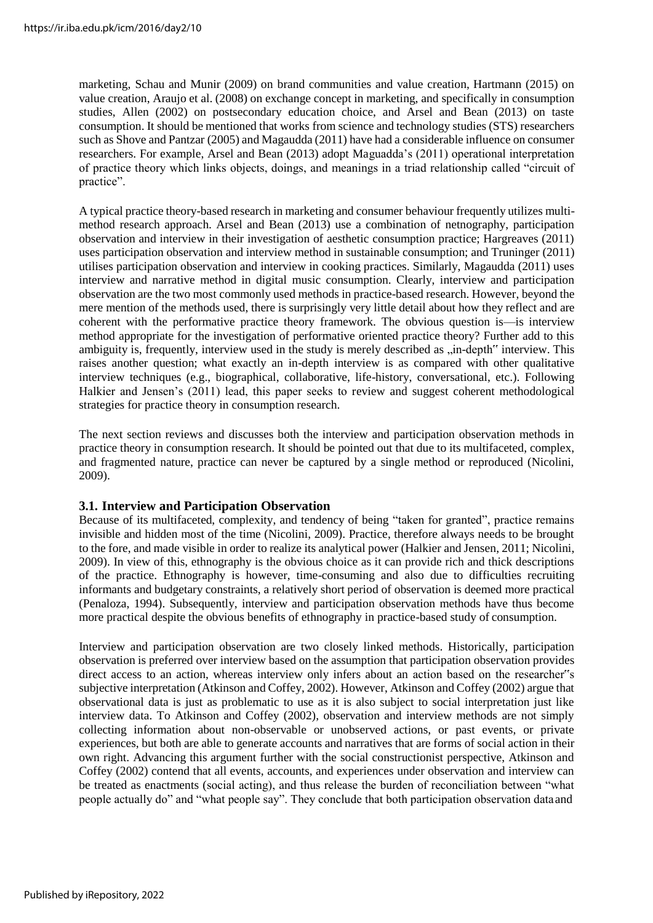marketing, Schau and Munir (2009) on brand communities and value creation, Hartmann (2015) on value creation, Araujo et al. (2008) on exchange concept in marketing, and specifically in consumption studies, Allen (2002) on postsecondary education choice, and Arsel and Bean (2013) on taste consumption. It should be mentioned that works from science and technology studies (STS) researchers such as Shove and Pantzar (2005) and Magaudda (2011) have had a considerable influence on consumer researchers. For example, Arsel and Bean (2013) adopt Maguadda's (2011) operational interpretation of practice theory which links objects, doings, and meanings in a triad relationship called "circuit of practice".

A typical practice theory-based research in marketing and consumer behaviour frequently utilizes multimethod research approach. Arsel and Bean (2013) use a combination of netnography, participation observation and interview in their investigation of aesthetic consumption practice; Hargreaves (2011) uses participation observation and interview method in sustainable consumption; and Truninger (2011) utilises participation observation and interview in cooking practices. Similarly, Magaudda (2011) uses interview and narrative method in digital music consumption. Clearly, interview and participation observation are the two most commonly used methods in practice-based research. However, beyond the mere mention of the methods used, there is surprisingly very little detail about how they reflect and are coherent with the performative practice theory framework. The obvious question is—is interview method appropriate for the investigation of performative oriented practice theory? Further add to this ambiguity is, frequently, interview used in the study is merely described as "in-depth" interview. This raises another question; what exactly an in-depth interview is as compared with other qualitative interview techniques (e.g., biographical, collaborative, life-history, conversational, etc.). Following Halkier and Jensen's (2011) lead, this paper seeks to review and suggest coherent methodological strategies for practice theory in consumption research.

The next section reviews and discusses both the interview and participation observation methods in practice theory in consumption research. It should be pointed out that due to its multifaceted, complex, and fragmented nature, practice can never be captured by a single method or reproduced (Nicolini, 2009).

#### **3.1. Interview and Participation Observation**

Because of its multifaceted, complexity, and tendency of being "taken for granted", practice remains invisible and hidden most of the time (Nicolini, 2009). Practice, therefore always needs to be brought to the fore, and made visible in order to realize its analytical power (Halkier and Jensen, 2011; Nicolini, 2009). In view of this, ethnography is the obvious choice as it can provide rich and thick descriptions of the practice. Ethnography is however, time-consuming and also due to difficulties recruiting informants and budgetary constraints, a relatively short period of observation is deemed more practical (Penaloza, 1994). Subsequently, interview and participation observation methods have thus become more practical despite the obvious benefits of ethnography in practice-based study of consumption.

Interview and participation observation are two closely linked methods. Historically, participation observation is preferred over interview based on the assumption that participation observation provides direct access to an action, whereas interview only infers about an action based on the researcher"s subjective interpretation (Atkinson and Coffey, 2002). However, Atkinson and Coffey (2002) argue that observational data is just as problematic to use as it is also subject to social interpretation just like interview data. To Atkinson and Coffey (2002), observation and interview methods are not simply collecting information about non-observable or unobserved actions, or past events, or private experiences, but both are able to generate accounts and narratives that are forms of social action in their own right. Advancing this argument further with the social constructionist perspective, Atkinson and Coffey (2002) contend that all events, accounts, and experiences under observation and interview can be treated as enactments (social acting), and thus release the burden of reconciliation between "what people actually do" and "what people say". They conclude that both participation observation dataand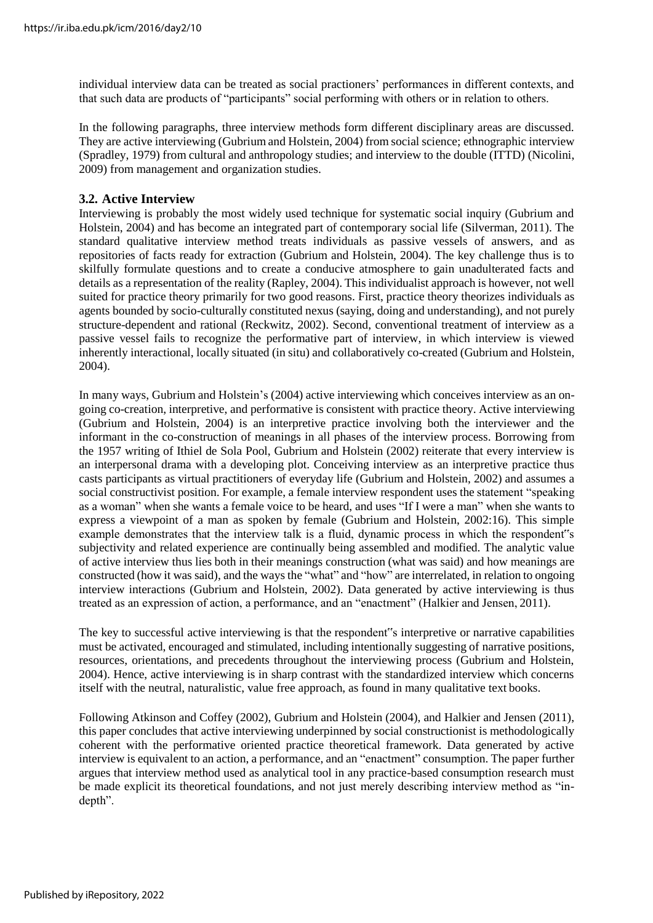individual interview data can be treated as social practioners' performances in different contexts, and that such data are products of "participants" social performing with others or in relation to others.

In the following paragraphs, three interview methods form different disciplinary areas are discussed. They are active interviewing (Gubrium and Holstein, 2004) from social science; ethnographic interview (Spradley, 1979) from cultural and anthropology studies; and interview to the double (ITTD) (Nicolini, 2009) from management and organization studies.

#### **3.2. Active Interview**

Interviewing is probably the most widely used technique for systematic social inquiry (Gubrium and Holstein, 2004) and has become an integrated part of contemporary social life (Silverman, 2011). The standard qualitative interview method treats individuals as passive vessels of answers, and as repositories of facts ready for extraction (Gubrium and Holstein, 2004). The key challenge thus is to skilfully formulate questions and to create a conducive atmosphere to gain unadulterated facts and details as a representation of the reality (Rapley, 2004). This individualist approach is however, not well suited for practice theory primarily for two good reasons. First, practice theory theorizes individuals as agents bounded by socio-culturally constituted nexus (saying, doing and understanding), and not purely structure-dependent and rational (Reckwitz, 2002). Second, conventional treatment of interview as a passive vessel fails to recognize the performative part of interview, in which interview is viewed inherently interactional, locally situated (in situ) and collaboratively co-created (Gubrium and Holstein, 2004).

In many ways, Gubrium and Holstein's (2004) active interviewing which conceives interview as an ongoing co-creation, interpretive, and performative is consistent with practice theory. Active interviewing (Gubrium and Holstein, 2004) is an interpretive practice involving both the interviewer and the informant in the co-construction of meanings in all phases of the interview process. Borrowing from the 1957 writing of Ithiel de Sola Pool, Gubrium and Holstein (2002) reiterate that every interview is an interpersonal drama with a developing plot. Conceiving interview as an interpretive practice thus casts participants as virtual practitioners of everyday life (Gubrium and Holstein, 2002) and assumes a social constructivist position. For example, a female interview respondent uses the statement "speaking as a woman" when she wants a female voice to be heard, and uses "If I were a man" when she wants to express a viewpoint of a man as spoken by female (Gubrium and Holstein, 2002:16). This simple example demonstrates that the interview talk is a fluid, dynamic process in which the respondent"s subjectivity and related experience are continually being assembled and modified. The analytic value of active interview thus lies both in their meanings construction (what was said) and how meanings are constructed (how it was said), and the ways the "what" and "how" are interrelated, in relation to ongoing interview interactions (Gubrium and Holstein, 2002). Data generated by active interviewing is thus treated as an expression of action, a performance, and an "enactment" (Halkier and Jensen, 2011).

The key to successful active interviewing is that the respondent"s interpretive or narrative capabilities must be activated, encouraged and stimulated, including intentionally suggesting of narrative positions, resources, orientations, and precedents throughout the interviewing process (Gubrium and Holstein, 2004). Hence, active interviewing is in sharp contrast with the standardized interview which concerns itself with the neutral, naturalistic, value free approach, as found in many qualitative text books.

Following Atkinson and Coffey (2002), Gubrium and Holstein (2004), and Halkier and Jensen (2011), this paper concludes that active interviewing underpinned by social constructionist is methodologically coherent with the performative oriented practice theoretical framework. Data generated by active interview is equivalent to an action, a performance, and an "enactment" consumption. The paper further argues that interview method used as analytical tool in any practice-based consumption research must be made explicit its theoretical foundations, and not just merely describing interview method as "indepth".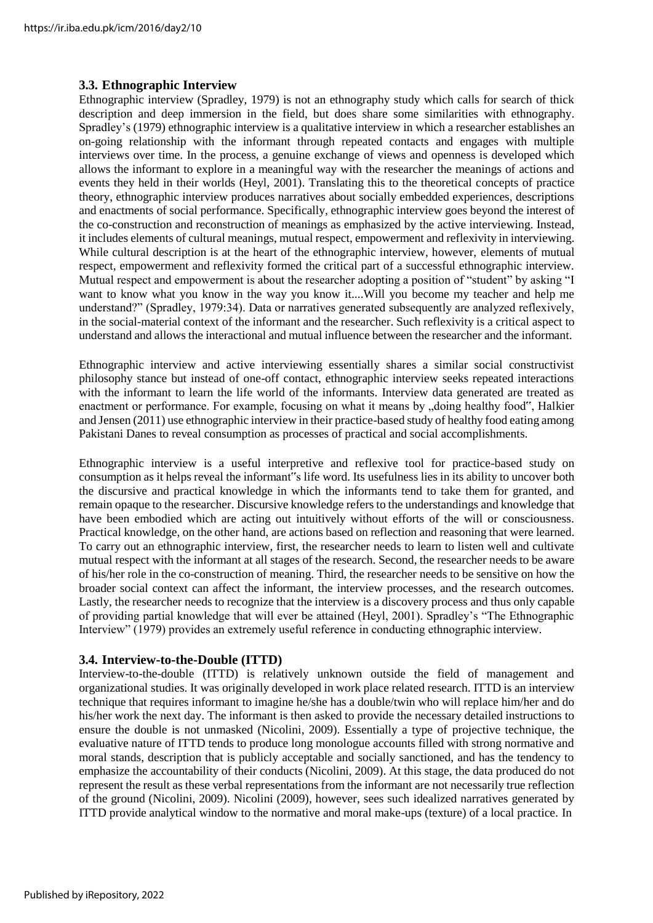#### **3.3. Ethnographic Interview**

Ethnographic interview (Spradley, 1979) is not an ethnography study which calls for search of thick description and deep immersion in the field, but does share some similarities with ethnography. Spradley's (1979) ethnographic interview is a qualitative interview in which a researcher establishes an on-going relationship with the informant through repeated contacts and engages with multiple interviews over time. In the process, a genuine exchange of views and openness is developed which allows the informant to explore in a meaningful way with the researcher the meanings of actions and events they held in their worlds (Heyl, 2001). Translating this to the theoretical concepts of practice theory, ethnographic interview produces narratives about socially embedded experiences, descriptions and enactments of social performance. Specifically, ethnographic interview goes beyond the interest of the co-construction and reconstruction of meanings as emphasized by the active interviewing. Instead, it includes elements of cultural meanings, mutual respect, empowerment and reflexivity in interviewing. While cultural description is at the heart of the ethnographic interview, however, elements of mutual respect, empowerment and reflexivity formed the critical part of a successful ethnographic interview. Mutual respect and empowerment is about the researcher adopting a position of "student" by asking "I want to know what you know in the way you know it....Will you become my teacher and help me understand?" (Spradley, 1979:34). Data or narratives generated subsequently are analyzed reflexively, in the social-material context of the informant and the researcher. Such reflexivity is a critical aspect to understand and allows the interactional and mutual influence between the researcher and the informant.

Ethnographic interview and active interviewing essentially shares a similar social constructivist philosophy stance but instead of one-off contact, ethnographic interview seeks repeated interactions with the informant to learn the life world of the informants. Interview data generated are treated as enactment or performance. For example, focusing on what it means by "doing healthy food", Halkier and Jensen (2011) use ethnographic interview in their practice-based study of healthy food eating among Pakistani Danes to reveal consumption as processes of practical and social accomplishments.

Ethnographic interview is a useful interpretive and reflexive tool for practice-based study on consumption as it helps reveal the informant"s life word. Its usefulness lies in its ability to uncover both the discursive and practical knowledge in which the informants tend to take them for granted, and remain opaque to the researcher. Discursive knowledge refers to the understandings and knowledge that have been embodied which are acting out intuitively without efforts of the will or consciousness. Practical knowledge, on the other hand, are actions based on reflection and reasoning that were learned. To carry out an ethnographic interview, first, the researcher needs to learn to listen well and cultivate mutual respect with the informant at all stages of the research. Second, the researcher needs to be aware of his/her role in the co-construction of meaning. Third, the researcher needs to be sensitive on how the broader social context can affect the informant, the interview processes, and the research outcomes. Lastly, the researcher needs to recognize that the interview is a discovery process and thus only capable of providing partial knowledge that will ever be attained (Heyl, 2001). Spradley's "The Ethnographic Interview" (1979) provides an extremely useful reference in conducting ethnographic interview.

#### **3.4. Interview-to-the-Double (ITTD)**

Interview-to-the-double (ITTD) is relatively unknown outside the field of management and organizational studies. It was originally developed in work place related research. ITTD is an interview technique that requires informant to imagine he/she has a double/twin who will replace him/her and do his/her work the next day. The informant is then asked to provide the necessary detailed instructions to ensure the double is not unmasked (Nicolini, 2009). Essentially a type of projective technique, the evaluative nature of ITTD tends to produce long monologue accounts filled with strong normative and moral stands, description that is publicly acceptable and socially sanctioned, and has the tendency to emphasize the accountability of their conducts (Nicolini, 2009). At this stage, the data produced do not represent the result as these verbal representations from the informant are not necessarily true reflection of the ground (Nicolini, 2009). Nicolini (2009), however, sees such idealized narratives generated by ITTD provide analytical window to the normative and moral make-ups (texture) of a local practice. In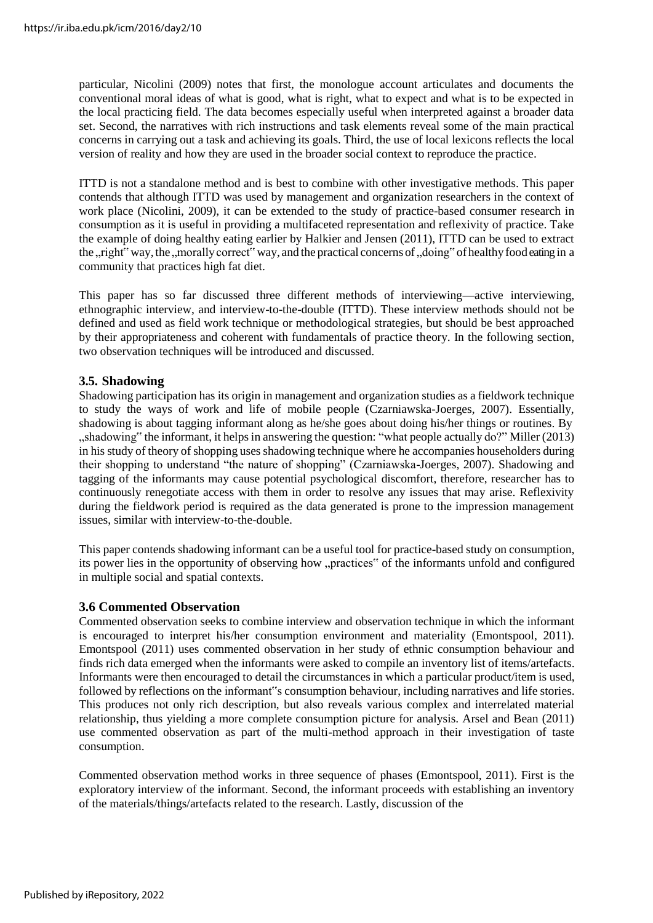particular, Nicolini (2009) notes that first, the monologue account articulates and documents the conventional moral ideas of what is good, what is right, what to expect and what is to be expected in the local practicing field. The data becomes especially useful when interpreted against a broader data set. Second, the narratives with rich instructions and task elements reveal some of the main practical concerns in carrying out a task and achieving its goals. Third, the use of local lexicons reflects the local version of reality and how they are used in the broader social context to reproduce the practice.

ITTD is not a standalone method and is best to combine with other investigative methods. This paper contends that although ITTD was used by management and organization researchers in the context of work place (Nicolini, 2009), it can be extended to the study of practice-based consumer research in consumption as it is useful in providing a multifaceted representation and reflexivity of practice. Take the example of doing healthy eating earlier by Halkier and Jensen (2011), ITTD can be used to extract the "right" way, the "morally correct" way, and the practical concerns of "doing" of healthy food eating in a community that practices high fat diet.

This paper has so far discussed three different methods of interviewing—active interviewing, ethnographic interview, and interview-to-the-double (ITTD). These interview methods should not be defined and used as field work technique or methodological strategies, but should be best approached by their appropriateness and coherent with fundamentals of practice theory. In the following section, two observation techniques will be introduced and discussed.

#### **3.5. Shadowing**

Shadowing participation has its origin in management and organization studies as a fieldwork technique to study the ways of work and life of mobile people (Czarniawska-Joerges, 2007). Essentially, shadowing is about tagging informant along as he/she goes about doing his/her things or routines. By ", shadowing" the informant, it helps in answering the question: "what people actually do?" Miller (2013) in his study of theory of shopping uses shadowing technique where he accompanies householders during their shopping to understand "the nature of shopping" (Czarniawska-Joerges, 2007). Shadowing and tagging of the informants may cause potential psychological discomfort, therefore, researcher has to continuously renegotiate access with them in order to resolve any issues that may arise. Reflexivity during the fieldwork period is required as the data generated is prone to the impression management issues, similar with interview-to-the-double.

This paper contends shadowing informant can be a useful tool for practice-based study on consumption, its power lies in the opportunity of observing how "practices" of the informants unfold and configured in multiple social and spatial contexts.

#### **3.6 Commented Observation**

Commented observation seeks to combine interview and observation technique in which the informant is encouraged to interpret his/her consumption environment and materiality (Emontspool, 2011). Emontspool (2011) uses commented observation in her study of ethnic consumption behaviour and finds rich data emerged when the informants were asked to compile an inventory list of items/artefacts. Informants were then encouraged to detail the circumstances in which a particular product/item is used, followed by reflections on the informant"s consumption behaviour, including narratives and life stories. This produces not only rich description, but also reveals various complex and interrelated material relationship, thus yielding a more complete consumption picture for analysis. Arsel and Bean (2011) use commented observation as part of the multi-method approach in their investigation of taste consumption.

Commented observation method works in three sequence of phases (Emontspool, 2011). First is the exploratory interview of the informant. Second, the informant proceeds with establishing an inventory of the materials/things/artefacts related to the research. Lastly, discussion of the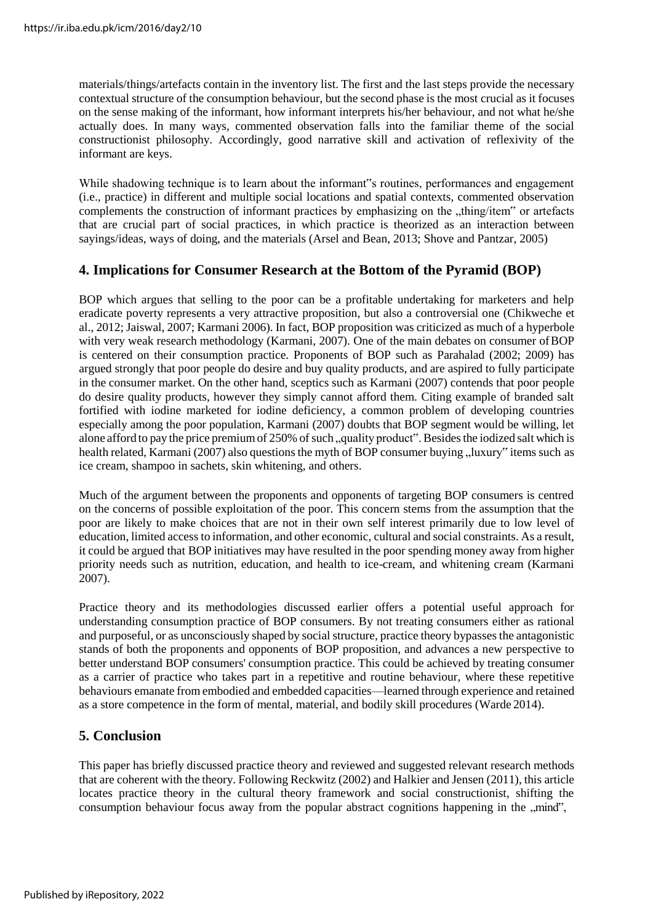materials/things/artefacts contain in the inventory list. The first and the last steps provide the necessary contextual structure of the consumption behaviour, but the second phase is the most crucial as it focuses on the sense making of the informant, how informant interprets his/her behaviour, and not what he/she actually does. In many ways, commented observation falls into the familiar theme of the social constructionist philosophy. Accordingly, good narrative skill and activation of reflexivity of the informant are keys.

While shadowing technique is to learn about the informant"s routines, performances and engagement (i.e., practice) in different and multiple social locations and spatial contexts, commented observation complements the construction of informant practices by emphasizing on the "thing/item" or artefacts that are crucial part of social practices, in which practice is theorized as an interaction between sayings/ideas, ways of doing, and the materials (Arsel and Bean, 2013; Shove and Pantzar, 2005)

## **4. Implications for Consumer Research at the Bottom of the Pyramid (BOP)**

BOP which argues that selling to the poor can be a profitable undertaking for marketers and help eradicate poverty represents a very attractive proposition, but also a controversial one (Chikweche et al., 2012; Jaiswal, 2007; Karmani 2006). In fact, BOP proposition was criticized as much of a hyperbole with very weak research methodology (Karmani, 2007). One of the main debates on consumer of BOP is centered on their consumption practice. Proponents of BOP such as Parahalad (2002; 2009) has argued strongly that poor people do desire and buy quality products, and are aspired to fully participate in the consumer market. On the other hand, sceptics such as Karmani (2007) contends that poor people do desire quality products, however they simply cannot afford them. Citing example of branded salt fortified with iodine marketed for iodine deficiency, a common problem of developing countries especially among the poor population, Karmani (2007) doubts that BOP segment would be willing, let alone afford to pay the price premium of 250% of such "quality product". Besides the iodized salt which is health related, Karmani (2007) also questions the myth of BOP consumer buying "luxury" items such as ice cream, shampoo in sachets, skin whitening, and others.

Much of the argument between the proponents and opponents of targeting BOP consumers is centred on the concerns of possible exploitation of the poor. This concern stems from the assumption that the poor are likely to make choices that are not in their own self interest primarily due to low level of education, limited accessto information, and other economic, cultural and social constraints. As a result, it could be argued that BOP initiatives may have resulted in the poor spending money away from higher priority needs such as nutrition, education, and health to ice-cream, and whitening cream (Karmani 2007).

Practice theory and its methodologies discussed earlier offers a potential useful approach for understanding consumption practice of BOP consumers. By not treating consumers either as rational and purposeful, or as unconsciously shaped by social structure, practice theory bypasses the antagonistic stands of both the proponents and opponents of BOP proposition, and advances a new perspective to better understand BOP consumers' consumption practice. This could be achieved by treating consumer as a carrier of practice who takes part in a repetitive and routine behaviour, where these repetitive behaviours emanate from embodied and embedded capacities—learned through experience and retained as a store competence in the form of mental, material, and bodily skill procedures (Warde 2014).

#### **5. Conclusion**

This paper has briefly discussed practice theory and reviewed and suggested relevant research methods that are coherent with the theory. Following Reckwitz (2002) and Halkier and Jensen (2011), this article locates practice theory in the cultural theory framework and social constructionist, shifting the consumption behaviour focus away from the popular abstract cognitions happening in the "mind",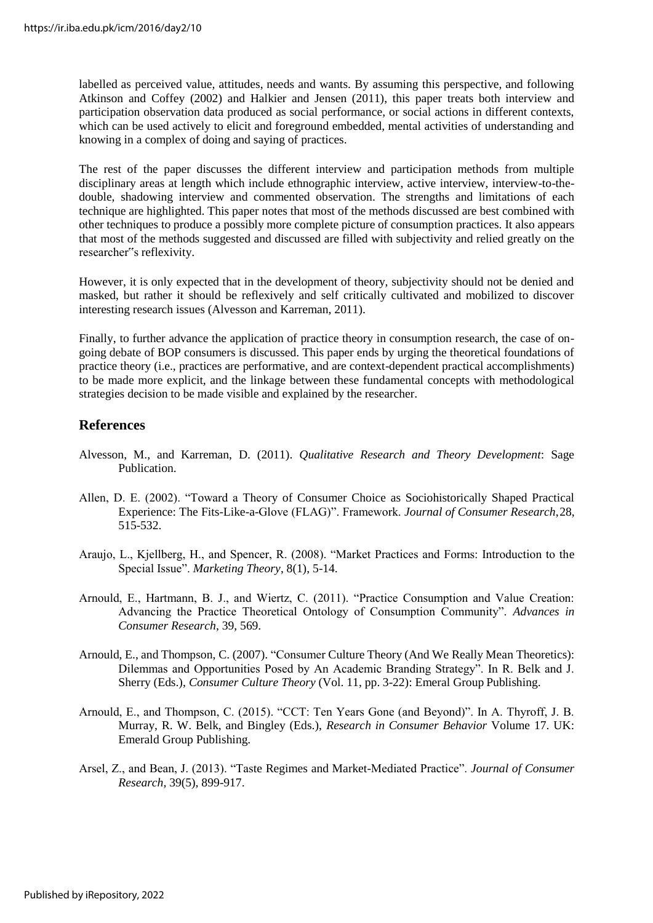labelled as perceived value, attitudes, needs and wants. By assuming this perspective, and following Atkinson and Coffey (2002) and Halkier and Jensen (2011), this paper treats both interview and participation observation data produced as social performance, or social actions in different contexts, which can be used actively to elicit and foreground embedded, mental activities of understanding and knowing in a complex of doing and saying of practices.

The rest of the paper discusses the different interview and participation methods from multiple disciplinary areas at length which include ethnographic interview, active interview, interview-to-thedouble, shadowing interview and commented observation. The strengths and limitations of each technique are highlighted. This paper notes that most of the methods discussed are best combined with other techniques to produce a possibly more complete picture of consumption practices. It also appears that most of the methods suggested and discussed are filled with subjectivity and relied greatly on the researcher"s reflexivity.

However, it is only expected that in the development of theory, subjectivity should not be denied and masked, but rather it should be reflexively and self critically cultivated and mobilized to discover interesting research issues (Alvesson and Karreman, 2011).

Finally, to further advance the application of practice theory in consumption research, the case of ongoing debate of BOP consumers is discussed. This paper ends by urging the theoretical foundations of practice theory (i.e., practices are performative, and are context-dependent practical accomplishments) to be made more explicit, and the linkage between these fundamental concepts with methodological strategies decision to be made visible and explained by the researcher.

#### **References**

- Alvesson, M., and Karreman, D. (2011). *Qualitative Research and Theory Development*: Sage Publication.
- Allen, D. E. (2002). "Toward a Theory of Consumer Choice as Sociohistorically Shaped Practical Experience: The Fits-Like-a-Glove (FLAG)". Framework. *Journal of Consumer Research*,28, 515-532.
- Araujo, L., Kjellberg, H., and Spencer, R. (2008). "Market Practices and Forms: Introduction to the Special Issue". *Marketing Theory*, 8(1), 5-14.
- Arnould, E., Hartmann, B. J., and Wiertz, C. (2011). "Practice Consumption and Value Creation: Advancing the Practice Theoretical Ontology of Consumption Community". *Advances in Consumer Research*, 39, 569.
- Arnould, E., and Thompson, C. (2007). "Consumer Culture Theory (And We Really Mean Theoretics): Dilemmas and Opportunities Posed by An Academic Branding Strategy". In R. Belk and J. Sherry (Eds.), *Consumer Culture Theory* (Vol. 11, pp. 3-22): Emeral Group Publishing.
- Arnould, E., and Thompson, C. (2015). "CCT: Ten Years Gone (and Beyond)". In A. Thyroff, J. B. Murray, R. W. Belk, and Bingley (Eds.), *Research in Consumer Behavior* Volume 17. UK: Emerald Group Publishing.
- Arsel, Z., and Bean, J. (2013). "Taste Regimes and Market-Mediated Practice". *Journal of Consumer Research*, 39(5), 899-917.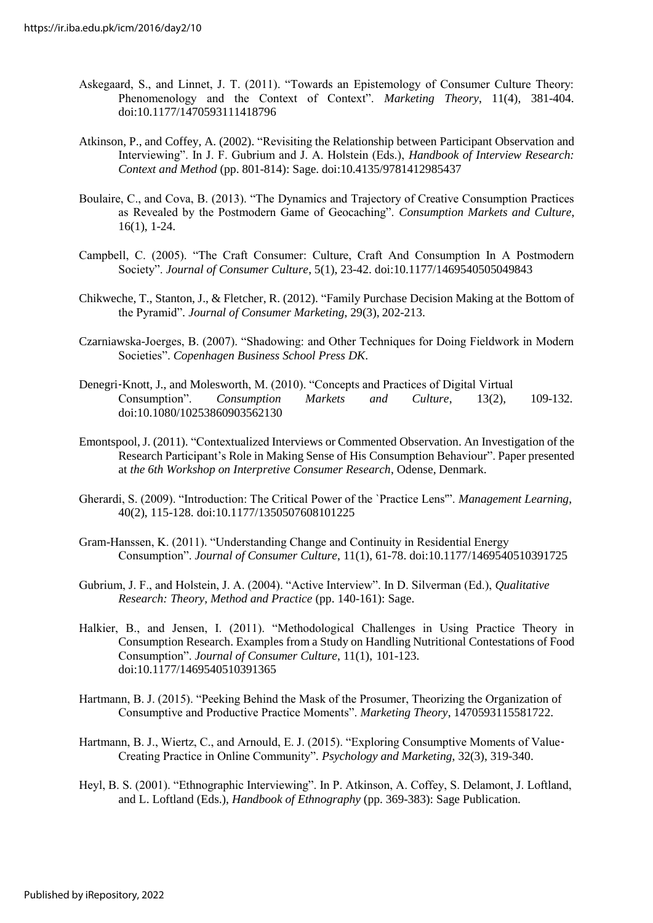- Askegaard, S., and Linnet, J. T. (2011). "Towards an Epistemology of Consumer Culture Theory: Phenomenology and the Context of Context". *Marketing Theory*, 11(4), 381-404. doi:10.1177/1470593111418796
- Atkinson, P., and Coffey, A. (2002). "Revisiting the Relationship between Participant Observation and Interviewing". In J. F. Gubrium and J. A. Holstein (Eds.), *Handbook of Interview Research: Context and Method* (pp. 801-814): Sage. doi:10.4135/9781412985437
- Boulaire, C., and Cova, B. (2013). "The Dynamics and Trajectory of Creative Consumption Practices as Revealed by the Postmodern Game of Geocaching". *Consumption Markets and Culture*, 16(1), 1-24.
- Campbell, C. (2005). "The Craft Consumer: Culture, Craft And Consumption In A Postmodern Society". *Journal of Consumer Culture*, 5(1), 23-42. doi:10.1177/1469540505049843
- Chikweche, T., Stanton, J., & Fletcher, R. (2012). "Family Purchase Decision Making at the Bottom of the Pyramid"*. Journal of Consumer Marketing*, 29(3), 202-213.
- Czarniawska-Joerges, B. (2007). "Shadowing: and Other Techniques for Doing Fieldwork in Modern Societies". *Copenhagen Business School Press DK*.
- Denegri‐Knott, J., and Molesworth, M. (2010). "Concepts and Practices of Digital Virtual Consumption". *Consumption Markets and Culture*, 13(2), 109-132. doi:10.1080/10253860903562130
- Emontspool,J. (2011). "Contextualized Interviews or Commented Observation. An Investigation of the Research Participant's Role in Making Sense of His Consumption Behaviour". Paper presented at *the 6th Workshop on Interpretive Consumer Research*, Odense, Denmark.
- Gherardi, S. (2009). "Introduction: The Critical Power of the `Practice Lens'". *Management Learning*, 40(2), 115-128. doi:10.1177/1350507608101225
- Gram-Hanssen, K. (2011). "Understanding Change and Continuity in Residential Energy Consumption". *Journal of Consumer Culture*, 11(1), 61-78. doi:10.1177/1469540510391725
- Gubrium, J. F., and Holstein, J. A. (2004). "Active Interview". In D. Silverman (Ed.), *Qualitative Research: Theory, Method and Practice* (pp. 140-161): Sage.
- Halkier, B., and Jensen, I. (2011). "Methodological Challenges in Using Practice Theory in Consumption Research. Examples from a Study on Handling Nutritional Contestations of Food Consumption". *Journal of Consumer Culture*, 11(1), 101-123. doi:10.1177/1469540510391365
- Hartmann, B. J. (2015). "Peeking Behind the Mask of the Prosumer, Theorizing the Organization of Consumptive and Productive Practice Moments". *Marketing Theory*, 1470593115581722.
- Hartmann, B. J., Wiertz, C., and Arnould, E. J. (2015). "Exploring Consumptive Moments of Value‐ Creating Practice in Online Community"*. Psychology and Marketing*, 32(3), 319-340.
- Heyl, B. S. (2001). "Ethnographic Interviewing". In P. Atkinson, A. Coffey, S. Delamont, J. Loftland, and L. Loftland (Eds.), *Handbook of Ethnography* (pp. 369-383): Sage Publication.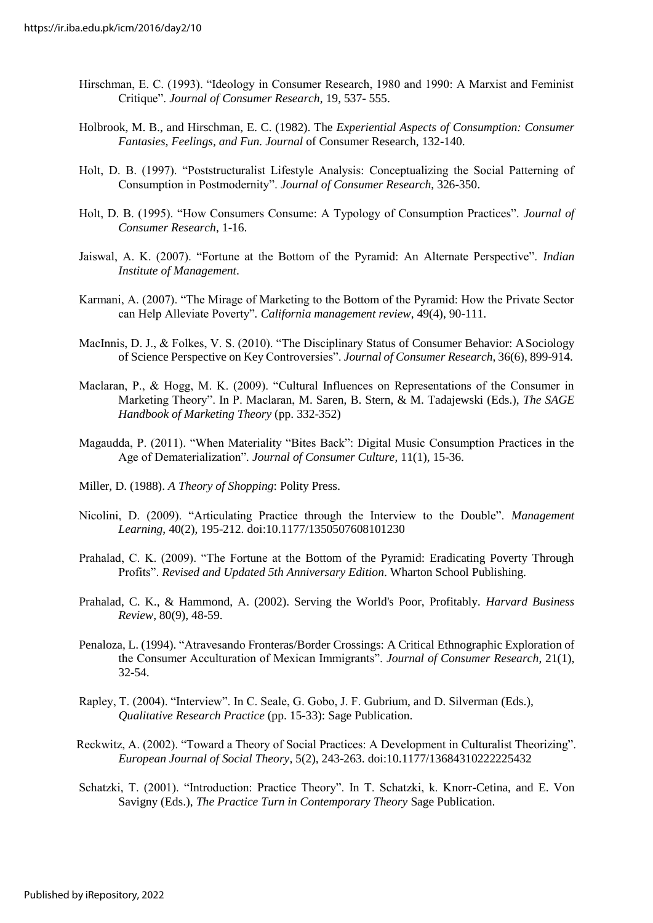- Hirschman, E. C. (1993). "Ideology in Consumer Research, 1980 and 1990: A Marxist and Feminist Critique". *Journal of Consumer Research*, 19, 537- 555.
- Holbrook, M. B., and Hirschman, E. C. (1982). The *Experiential Aspects of Consumption: Consumer Fantasies, Feelings, and Fun. Journal* of Consumer Research, 132-140.
- Holt, D. B. (1997). "Poststructuralist Lifestyle Analysis: Conceptualizing the Social Patterning of Consumption in Postmodernity". *Journal of Consumer Research*, 326-350.
- Holt, D. B. (1995). "How Consumers Consume: A Typology of Consumption Practices". *Journal of Consumer Research*, 1-16.
- Jaiswal, A. K. (2007). "Fortune at the Bottom of the Pyramid: An Alternate Perspective". *Indian Institute of Management*.
- Karmani, A. (2007). "The Mirage of Marketing to the Bottom of the Pyramid: How the Private Sector can Help Alleviate Poverty"*. California management review*, 49(4), 90-111.
- MacInnis, D. J., & Folkes, V. S. (2010). "The Disciplinary Status of Consumer Behavior: ASociology of Science Perspective on Key Controversies". *Journal of Consumer Research*, 36(6), 899-914.
- Maclaran, P., & Hogg, M. K. (2009). "Cultural Influences on Representations of the Consumer in Marketing Theory". In P. Maclaran, M. Saren, B. Stern, & M. Tadajewski (Eds.), *The SAGE Handbook of Marketing Theory* (pp. 332-352)
- Magaudda, P. (2011). "When Materiality "Bites Back": Digital Music Consumption Practices in the Age of Dematerialization"*. Journal of Consumer Culture*, 11(1), 15-36.
- Miller, D. (1988). *A Theory of Shopping*: Polity Press.
- Nicolini, D. (2009). "Articulating Practice through the Interview to the Double". *Management Learning*, 40(2), 195-212. doi:10.1177/1350507608101230
- Prahalad, C. K. (2009). "The Fortune at the Bottom of the Pyramid: Eradicating Poverty Through Profits". *Revised and Updated 5th Anniversary Edition*. Wharton School Publishing.
- Prahalad, C. K., & Hammond, A. (2002). Serving the World's Poor, Profitably. *Harvard Business Review*, 80(9), 48-59.
- Penaloza, L. (1994). "Atravesando Fronteras/Border Crossings: A Critical Ethnographic Exploration of the Consumer Acculturation of Mexican Immigrants". *Journal of Consumer Research*, 21(1), 32-54.
- Rapley, T. (2004). "Interview". In C. Seale, G. Gobo, J. F. Gubrium, and D. Silverman (Eds.), *Qualitative Research Practice* (pp. 15-33): Sage Publication.
- Reckwitz, A. (2002). "Toward a Theory of Social Practices: A Development in Culturalist Theorizing". *European Journal of Social Theory*, 5(2), 243-263. doi:10.1177/13684310222225432
- Schatzki, T. (2001). "Introduction: Practice Theory". In T. Schatzki, k. Knorr-Cetina, and E. Von Savigny (Eds.), *The Practice Turn in Contemporary Theory* Sage Publication.